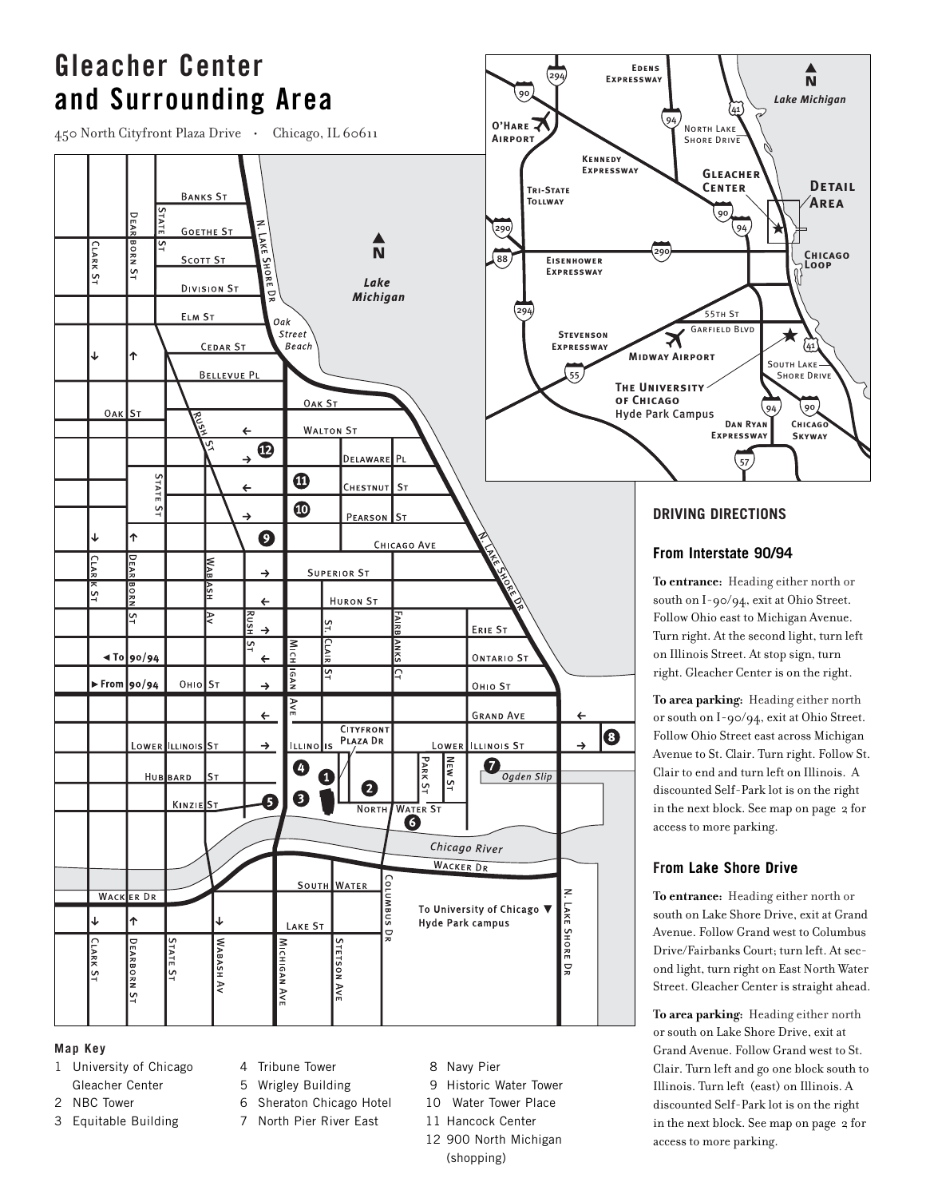

#### **Map Key**

- 1 University of Chicago Gleacher Center
- 2 NBC Tower
- 3 Equitable Building
- 4 Tribune Tower
- 5 Wrigley Building
- 6 Sheraton Chicago Hotel
- 7 North Pier River East
- 8 Navy Pier
- 9 Historic Water Tower
- 10 Water Tower Place
- 11 Hancock Center
- 12 900 North Michigan

(shopping)

Avenue to St. Clair. Turn right. Follow St. in the next block. See map on page 2 for

south on Lake Shore Drive, exit at Grand ond light, turn right on East North Water Street. Gleacher Center is straight ahead.

Grand Avenue. Follow Grand west to St. Clair. Turn left and go one block south to Illinois. Turn left (east) on Illinois. A discounted Self-Park lot is on the right in the next block. See map on page 2 for access to more parking.